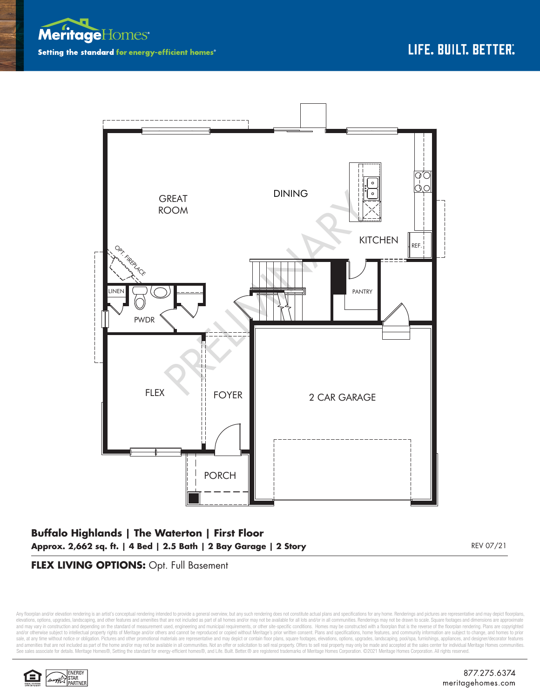



## **Buffalo Highlands | The Waterton | First Floor Approx. 2,662 sq. ft. | 4 Bed | 2.5 Bath | 2 Bay Garage | 2 Story** REV 07/21

## **FLEX LIVING OPTIONS:** Opt. Full Basement

Any floorplan and/or elevation rendering is an artist's conceptual rendering intended to provide a general overview, but any such rendering does not constitute actual plans and specifications for any home. Renderings and p elevations, options, upgrades, landscaping, and other features and amenities that are not included as part of all homes and/or may not be available for all lots and/or in all communities. Renderings may not be drawn to sca and may vary in construction and depending on the standard of measurement used, engineering and municipal requirements, or other site-specific conditions. Homes may be constructed with a floorplan that is the reverse of th and/or otherwise subject to intellectual property rights of Meritage and/or others and cannot be reproduced or copied without Meritage's prior written consent. Plans and specifications, home features, and community informa sale, at any time without notice or obligation. Pictures and other promotional materials are representative and may depict or contain floor plans, square footages, elevations, options, upgrades, landscaping, pool/spa, furn See sales associate for details. Meritage Homes®, Setting the standard for energy-efficient homes®, and Life. Built. Better. @ are registered trademarks of Meritage Homes Corporation. ©2021 Meritage Homes Corporation. All

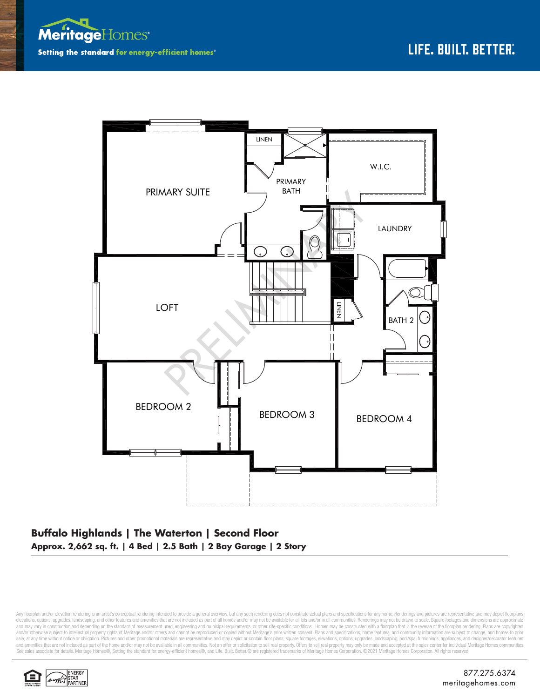



## **Buffalo Highlands | The Waterton | Second Floor Approx. 2,662 sq. ft. | 4 Bed | 2.5 Bath | 2 Bay Garage | 2 Story**

Any floorplan and/or elevation rendering is an artist's conceptual rendering intended to provide a general overview, but any such rendering does not constitute actual plans and specifications for any home. Renderings and p elevations, options, upgrades, landscaping, and other features and amenities that are not included as part of all homes and/or may not be available for all lots and/or in all communities. Renderings may not be drawn to sca and may vary in construction and depending on the standard of measurement used, engineering and municipal requirements, or other site-specific conditions. Homes may be constructed with a floorplan that is the reverse of th and/or otherwise subject to intellectual property rights of Meritage and/or others and cannot be reproduced or copied without Meritage's prior written consent. Plans and specifications, home features, and community informa sale, at any time without notice or obligation. Pictures and other promotional materials are representative and may depict or contain floor plans, square footages, elevations, options, upgrades, landscaping, pool/spa, furn See sales associate for details. Meritage Homes®, Setting the standard for energy-efficient homes®, and Life. Built. Better. @ are registered trademarks of Meritage Homes Corporation. ©2021 Meritage Homes Corporation. All